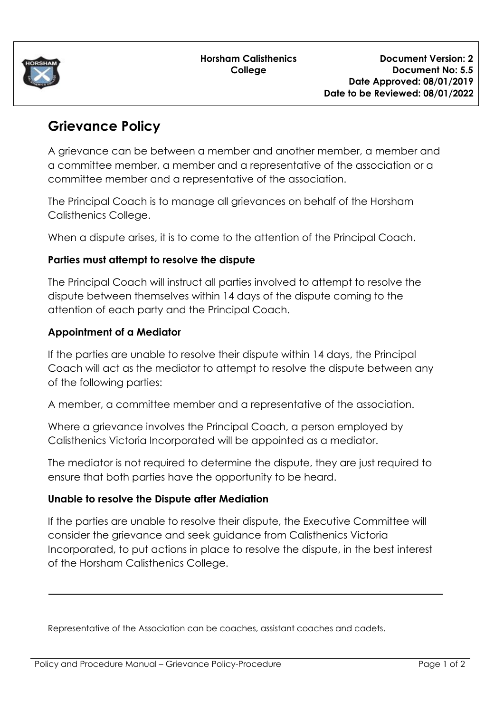

# **Grievance Policy**

A grievance can be between a member and another member, a member and a committee member, a member and a representative of the association or a committee member and a representative of the association.

The Principal Coach is to manage all grievances on behalf of the Horsham Calisthenics College.

When a dispute arises, it is to come to the attention of the Principal Coach.

## **Parties must attempt to resolve the dispute**

The Principal Coach will instruct all parties involved to attempt to resolve the dispute between themselves within 14 days of the dispute coming to the attention of each party and the Principal Coach.

## **Appointment of a Mediator**

If the parties are unable to resolve their dispute within 14 days, the Principal Coach will act as the mediator to attempt to resolve the dispute between any of the following parties:

A member, a committee member and a representative of the association.

Where a grievance involves the Principal Coach, a person employed by Calisthenics Victoria Incorporated will be appointed as a mediator.

The mediator is not required to determine the dispute, they are just required to ensure that both parties have the opportunity to be heard.

#### **Unable to resolve the Dispute after Mediation**

If the parties are unable to resolve their dispute, the Executive Committee will consider the grievance and seek guidance from Calisthenics Victoria Incorporated, to put actions in place to resolve the dispute, in the best interest of the Horsham Calisthenics College.

Representative of the Association can be coaches, assistant coaches and cadets.